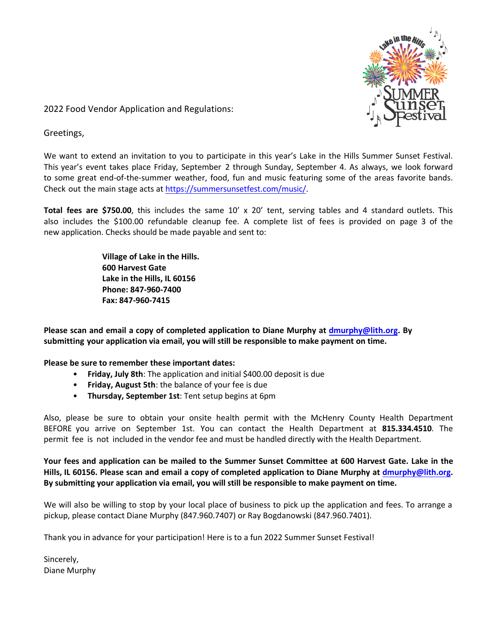

2022 Food Vendor Application and Regulations:

Greetings,

We want to extend an invitation to you to participate in this year's Lake in the Hills Summer Sunset Festival. This year's event takes place Friday, September 2 through Sunday, September 4. As always, we look forward to some great end-of-the-summer weather, food, fun and music featuring some of the areas favorite bands. Check out the main stage acts at <https://summersunsetfest.com/music/>.

**Total fees are \$750.00**, this includes the same 10' x 20' tent, serving tables and 4 standard outlets. This also includes the \$100.00 refundable cleanup fee. A complete list of fees is provided on page 3 of the new application. Checks should be made payable and sent to:

> **Village of Lake in the Hills. 600 Harvest Gate Lake in the Hills, IL 60156 Phone: 847-960-7400 Fax: 847-960-7415**

**Please scan and email a copy of completed application to Diane Murphy at [dmurphy](mailto:dmurphy@lith.org)@lith.org. By submitting your application via email, you will still be responsible to make payment on time.** 

**Please be sure to remember these important dates:** 

- **Friday, July 8th**: The application and initial \$400.00 deposit is due
- **Friday, August 5th**: the balance of your fee is due
- **Thursday, September 1st**: Tent setup begins at 6pm

Also, please be sure to obtain your onsite health permit with the McHenry County Health Department BEFORE you arrive on September 1st. You can contact the Health Department at **815.334.4510**. The permit fee is not included in the vendor fee and must be handled directly with the Health Department.

**Your fees and application can be mailed to the Summer Sunset Committee at 600 Harvest Gate. Lake in the Hills, IL 60156. Please scan and email a copy of completed application to Diane Murphy at [dmurphy](mailto:dmurphy@lith.org)@lith.org. By submitting your application via email, you will still be responsible to make payment on time.** 

We will also be willing to stop by your local place of business to pick up the application and fees. To arrange a pickup, please contact Diane Murphy (847.960.7407) or Ray Bogdanowski (847.960.7401).

Thank you in advance for your participation! Here is to a fun 2022 Summer Sunset Festival!

Sincerely, Diane Murphy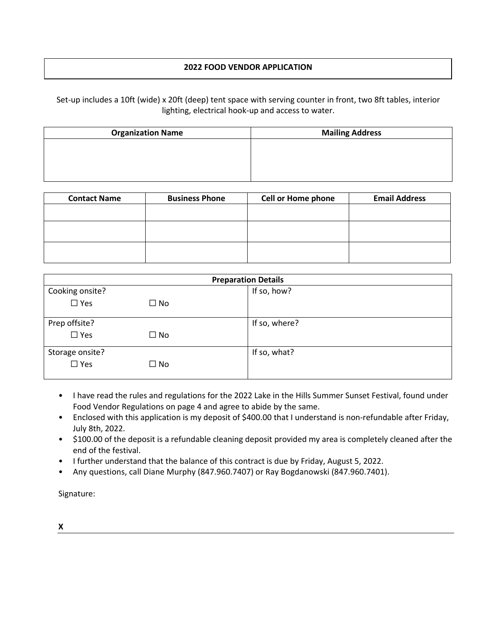## **2022 FOOD VENDOR APPLICATION**

Set-up includes a 10ft (wide) x 20ft (deep) tent space with serving counter in front, two 8ft tables, interior lighting, electrical hook-up and access to water.

| <b>Organization Name</b> | <b>Mailing Address</b> |
|--------------------------|------------------------|
|                          |                        |
|                          |                        |
|                          |                        |

| <b>Contact Name</b> | <b>Business Phone</b> | <b>Cell or Home phone</b> | <b>Email Address</b> |
|---------------------|-----------------------|---------------------------|----------------------|
|                     |                       |                           |                      |
|                     |                       |                           |                      |
|                     |                       |                           |                      |

|                 |              | <b>Preparation Details</b> |
|-----------------|--------------|----------------------------|
| Cooking onsite? |              | If so, how?                |
| $\Box$ Yes      | $\Box$ No    |                            |
| Prep offsite?   |              | If so, where?              |
| $\square$ Yes   | $\square$ No |                            |
| Storage onsite? |              | If so, what?               |
| $\square$ Yes   | $\square$ No |                            |

- I have read the rules and regulations for the 2022 Lake in the Hills Summer Sunset Festival, found under Food Vendor Regulations on page 4 and agree to abide by the same.
- Enclosed with this application is my deposit of \$400.00 that I understand is non-refundable after Friday, July 8th, 2022.
- \$100.00 of the deposit is a refundable cleaning deposit provided my area is completely cleaned after the end of the festival.
- I further understand that the balance of this contract is due by Friday, August 5, 2022.
- Any questions, call Diane Murphy (847.960.7407) or Ray Bogdanowski (847.960.7401).

Signature:

**X**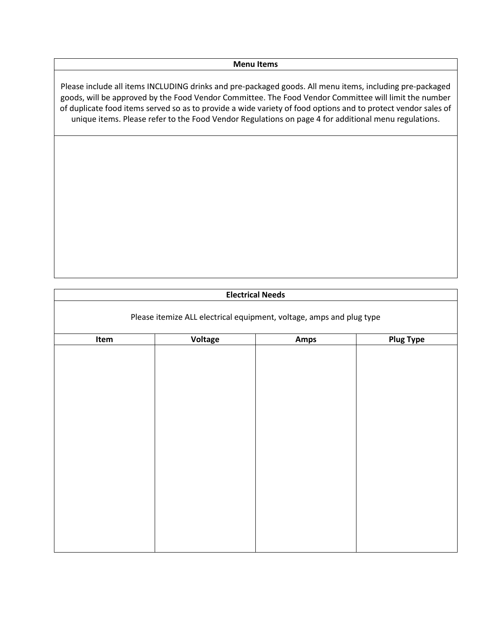## **Menu Items**

Please include all items INCLUDING drinks and pre-packaged goods. All menu items, including pre-packaged goods, will be approved by the Food Vendor Committee. The Food Vendor Committee will limit the number of duplicate food items served so as to provide a wide variety of food options and to protect vendor sales of unique items. Please refer to the Food Vendor Regulations on page 4 for additional menu regulations.

## **Electrical Needs**

| Item | Voltage | Amps | <b>Plug Type</b> |
|------|---------|------|------------------|
|      |         |      |                  |
|      |         |      |                  |
|      |         |      |                  |
|      |         |      |                  |
|      |         |      |                  |
|      |         |      |                  |
|      |         |      |                  |
|      |         |      |                  |
|      |         |      |                  |
|      |         |      |                  |
|      |         |      |                  |
|      |         |      |                  |
|      |         |      |                  |
|      |         |      |                  |